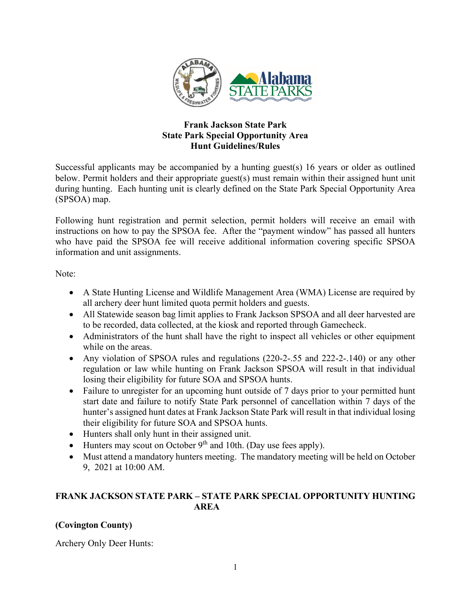

## **Frank Jackson State Park State Park Special Opportunity Area Hunt Guidelines/Rules**

Successful applicants may be accompanied by a hunting guest(s) 16 years or older as outlined below. Permit holders and their appropriate guest(s) must remain within their assigned hunt unit during hunting. Each hunting unit is clearly defined on the State Park Special Opportunity Area (SPSOA) map.

Following hunt registration and permit selection, permit holders will receive an email with instructions on how to pay the SPSOA fee. After the "payment window" has passed all hunters who have paid the SPSOA fee will receive additional information covering specific SPSOA information and unit assignments.

Note:

- A State Hunting License and Wildlife Management Area (WMA) License are required by all archery deer hunt limited quota permit holders and guests.
- All Statewide season bag limit applies to Frank Jackson SPSOA and all deer harvested are to be recorded, data collected, at the kiosk and reported through Gamecheck.
- Administrators of the hunt shall have the right to inspect all vehicles or other equipment while on the areas.
- Any violation of SPSOA rules and regulations (220-2-.55 and 222-2-.140) or any other regulation or law while hunting on Frank Jackson SPSOA will result in that individual losing their eligibility for future SOA and SPSOA hunts.
- Failure to unregister for an upcoming hunt outside of 7 days prior to your permitted hunt start date and failure to notify State Park personnel of cancellation within 7 days of the hunter's assigned hunt dates at Frank Jackson State Park will result in that individual losing their eligibility for future SOA and SPSOA hunts.
- Hunters shall only hunt in their assigned unit.
- Hunters may scout on October  $9<sup>th</sup>$  and 10th. (Day use fees apply).
- Must attend a mandatory hunters meeting. The mandatory meeting will be held on October 9, 2021 at 10:00 AM.

## **FRANK JACKSON STATE PARK – STATE PARK SPECIAL OPPORTUNITY HUNTING AREA**

## **(Covington County)**

Archery Only Deer Hunts: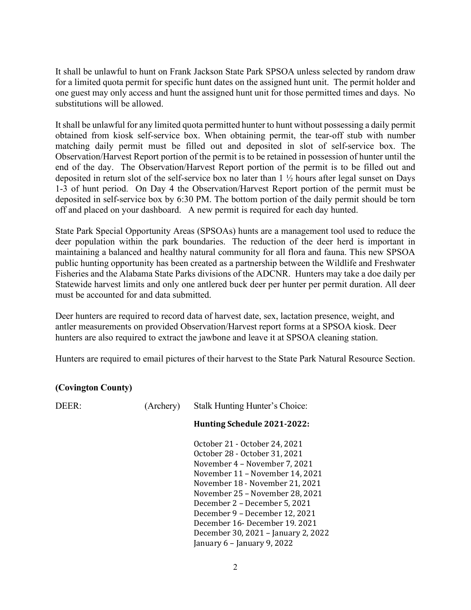It shall be unlawful to hunt on Frank Jackson State Park SPSOA unless selected by random draw for a limited quota permit for specific hunt dates on the assigned hunt unit. The permit holder and one guest may only access and hunt the assigned hunt unit for those permitted times and days. No substitutions will be allowed.

It shall be unlawful for any limited quota permitted hunter to hunt without possessing a daily permit obtained from kiosk self-service box. When obtaining permit, the tear-off stub with number matching daily permit must be filled out and deposited in slot of self-service box. The Observation/Harvest Report portion of the permit is to be retained in possession of hunter until the end of the day. The Observation/Harvest Report portion of the permit is to be filled out and deposited in return slot of the self-service box no later than 1 ½ hours after legal sunset on Days 1-3 of hunt period. On Day 4 the Observation/Harvest Report portion of the permit must be deposited in self-service box by 6:30 PM. The bottom portion of the daily permit should be torn off and placed on your dashboard. A new permit is required for each day hunted.

State Park Special Opportunity Areas (SPSOAs) hunts are a management tool used to reduce the deer population within the park boundaries. The reduction of the deer herd is important in maintaining a balanced and healthy natural community for all flora and fauna. This new SPSOA public hunting opportunity has been created as a partnership between the Wildlife and Freshwater Fisheries and the Alabama State Parks divisions of the ADCNR. Hunters may take a doe daily per Statewide harvest limits and only one antlered buck deer per hunter per permit duration. All deer must be accounted for and data submitted.

Deer hunters are required to record data of harvest date, sex, lactation presence, weight, and antler measurements on provided Observation/Harvest report forms at a SPSOA kiosk. Deer hunters are also required to extract the jawbone and leave it at SPSOA cleaning station.

Hunters are required to email pictures of their harvest to the State Park Natural Resource Section.

## **(Covington County)**

| DEFR: | (Archery) | Stalk Hunting Hunter's Choice:      |
|-------|-----------|-------------------------------------|
|       |           | Hunting Schedule 2021-2022:         |
|       |           | October 21 - October 24, 2021       |
|       |           | October 28 - October 31, 2021       |
|       |           | November 4 – November 7, 2021       |
|       |           | November 11 - November 14, 2021     |
|       |           | November 18 - November 21, 2021     |
|       |           | November 25 - November 28, 2021     |
|       |           | December 2 – December 5, 2021       |
|       |           | December 9 – December 12, 2021      |
|       |           | December 16 - December 19, 2021     |
|       |           | December 30, 2021 - January 2, 2022 |
|       |           | January $6$ – January 9, 2022       |
|       |           |                                     |